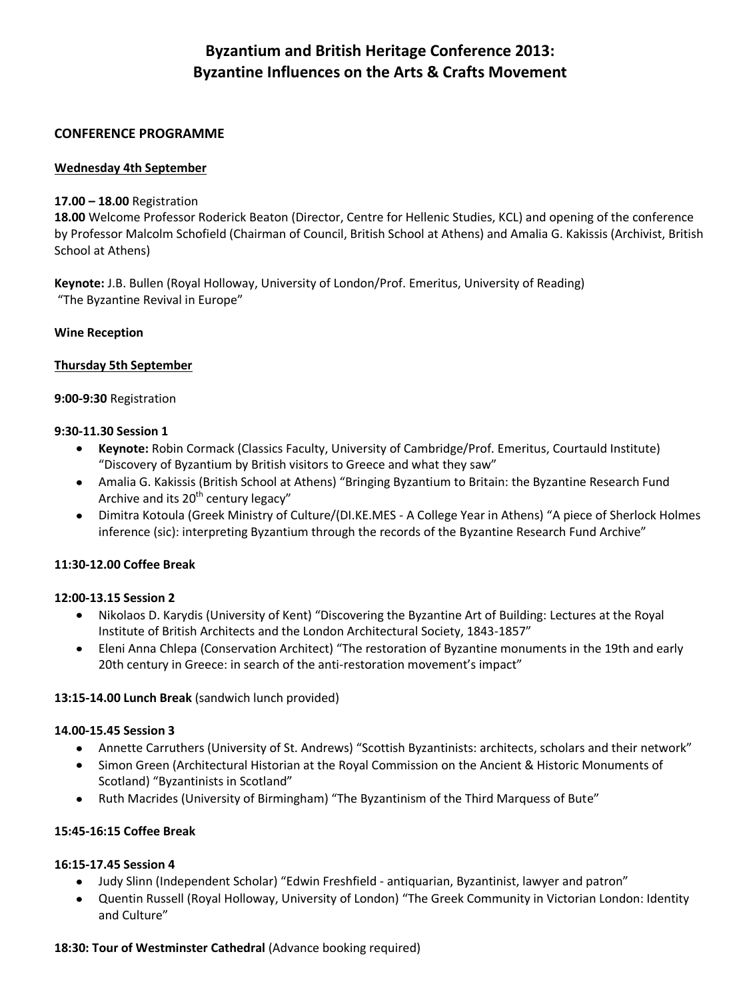# **Byzantium and British Heritage Conference 2013: Byzantine Influences on the Arts & Crafts Movement**

# **CONFERENCE PROGRAMME**

# **Wednesday 4th September**

# **17.00 – 18.00** Registration

**18.00** Welcome Professor Roderick Beaton (Director, Centre for Hellenic Studies, KCL) and opening of the conference by Professor Malcolm Schofield (Chairman of Council, British School at Athens) and Amalia G. Kakissis (Archivist, British School at Athens)

**Keynote:** J.B. Bullen (Royal Holloway, University of London/Prof. Emeritus, University of Reading) "The Byzantine Revival in Europe"

# **Wine Reception**

# **Thursday 5th September**

# **9:00-9:30** Registration

# **9:30-11.30 Session 1**

- **Keynote:** Robin Cormack (Classics Faculty, University of Cambridge/Prof. Emeritus, Courtauld Institute)  $\bullet$ "Discovery of Byzantium by British visitors to Greece and what they saw"
- Amalia G. Kakissis (British School at Athens) "Bringing Byzantium to Britain: the Byzantine Research Fund  $\bullet$  . Archive and its 20<sup>th</sup> century legacy"
- Dimitra Kotoula (Greek Ministry of Culture/(DI.KE.MES A College Year in Athens) "A piece of Sherlock Holmes  $\bullet$ inference (sic): interpreting Byzantium through the records of the Byzantine Research Fund Archive"

# **11:30-12.00 Coffee Break**

#### **12:00-13.15 Session 2**

- $\bullet$ Nikolaos D. Karydis (University of Kent) "Discovering the Byzantine Art of Building: Lectures at the Royal Institute of British Architects and the London Architectural Society, 1843-1857"
- Eleni Anna Chlepa (Conservation Architect) "The restoration of Byzantine monuments in the 19th and early  $\bullet$ 20th century in Greece: in search of the anti-restoration movement's impact"

#### **13:15-14.00 Lunch Break** (sandwich lunch provided)

#### **14.00-15.45 Session 3**

- Annette Carruthers (University of St. Andrews) "Scottish Byzantinists: architects, scholars and their network"  $\bullet$
- Simon Green (Architectural Historian at the Royal Commission on the Ancient & Historic Monuments of Scotland) "Byzantinists in Scotland"
- Ruth Macrides (University of Birmingham) "The Byzantinism of the Third Marquess of Bute"  $\bullet$

# **15:45-16:15 Coffee Break**

#### **16:15-17.45 Session 4**

- Judy Slinn (Independent Scholar) "Edwin Freshfield antiquarian, Byzantinist, lawyer and patron"
- Quentin Russell (Royal Holloway, University of London) "The Greek Community in Victorian London: Identity  $\bullet$ and Culture"

#### **18:30: Tour of Westminster Cathedral** (Advance booking required)